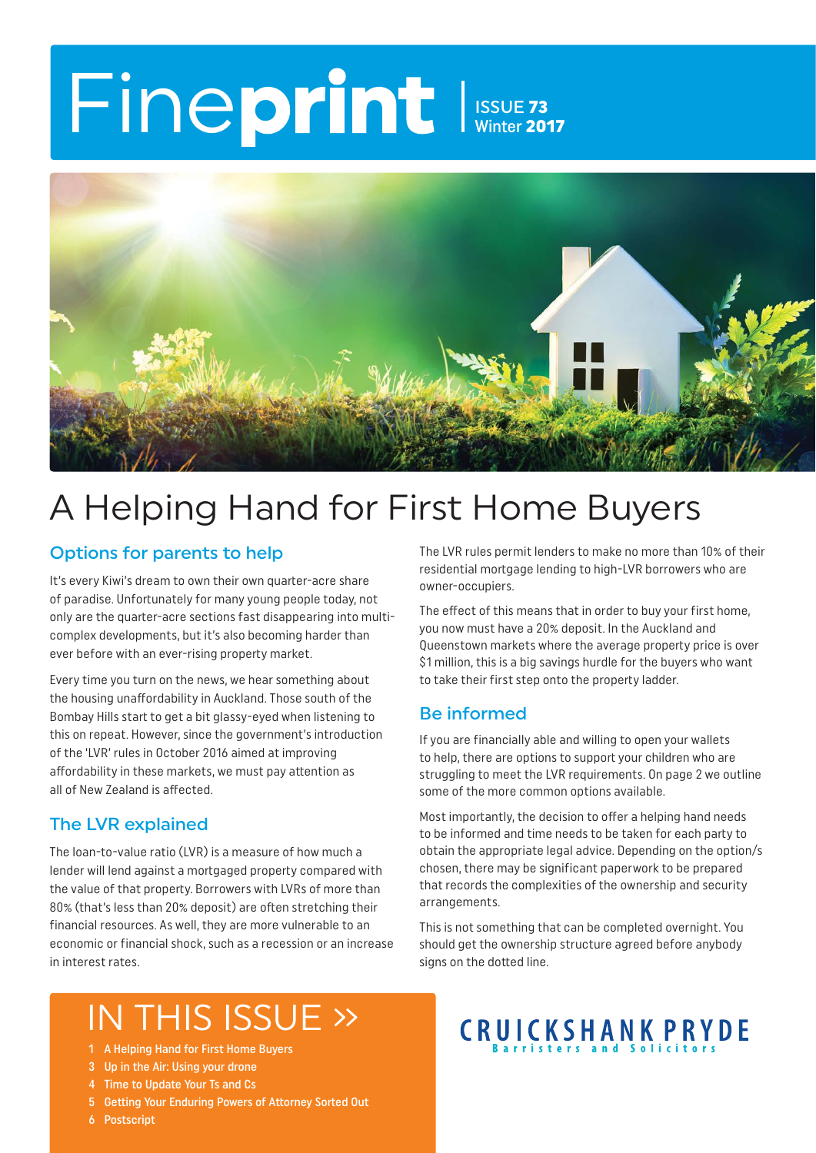# Fineprint ISSUE 73 Winter 2017



# A Helping Hand for First Home Buyers

#### Options for parents to help

It's every Kiwi's dream to own their own quarter-acre share of paradise. Unfortunately for many young people today, not only are the quarter-acre sections fast disappearing into multicomplex developments, but it's also becoming harder than ever before with an ever-rising property market.

Every time you turn on the news, we hear something about the housing unaffordability in Auckland. Those south of the Bombay Hills start to get a bit glassy-eyed when listening to this on repeat. However, since the government's introduction of the 'LVR' rules in October 2016 aimed at improving affordability in these markets, we must pay attention as all of New Zealand is affected.

#### The LVR explained

The loan-to-value ratio (LVR) is a measure of how much a lender will lend against a mortgaged property compared with the value of that property. Borrowers with LVRs of more than 80% (that's less than 20% deposit) are often stretching their financial resources. As well, they are more vulnerable to an economic or financial shock, such as a recession or an increase in interest rates.

The LVR rules permit lenders to make no more than 10% of their residential mortgage lending to high-LVR borrowers who are owner-occupiers.

The effect of this means that in order to buy your first home, you now must have a 20% deposit. In the Auckland and Queenstown markets where the average property price is over \$1 million, this is a big savings hurdle for the buyers who want to take their first step onto the property ladder.

#### Be informed

If you are financially able and willing to open your wallets to help, there are options to support your children who are struggling to meet the LVR requirements. On page 2 we outline some of the more common options available.

Most importantly, the decision to offer a helping hand needs to be informed and time needs to be taken for each party to obtain the appropriate legal advice. Depending on the option/s chosen, there may be significant paperwork to be prepared that records the complexities of the ownership and security arrangements.

This is not something that can be completed overnight. You should get the ownership structure agreed before anybody signs on the dotted line.

# IN THIS ISSUE »

- 1 A Helping Hand for First Home Buyers
- 3 Up in the Air: Using your drone
- 4 Time to Update Your Ts and Cs
- 5 Getting Your Enduring Powers of Attorney Sorted Out
- 6 Postscript

# **CRUICKSHANK PRYDE**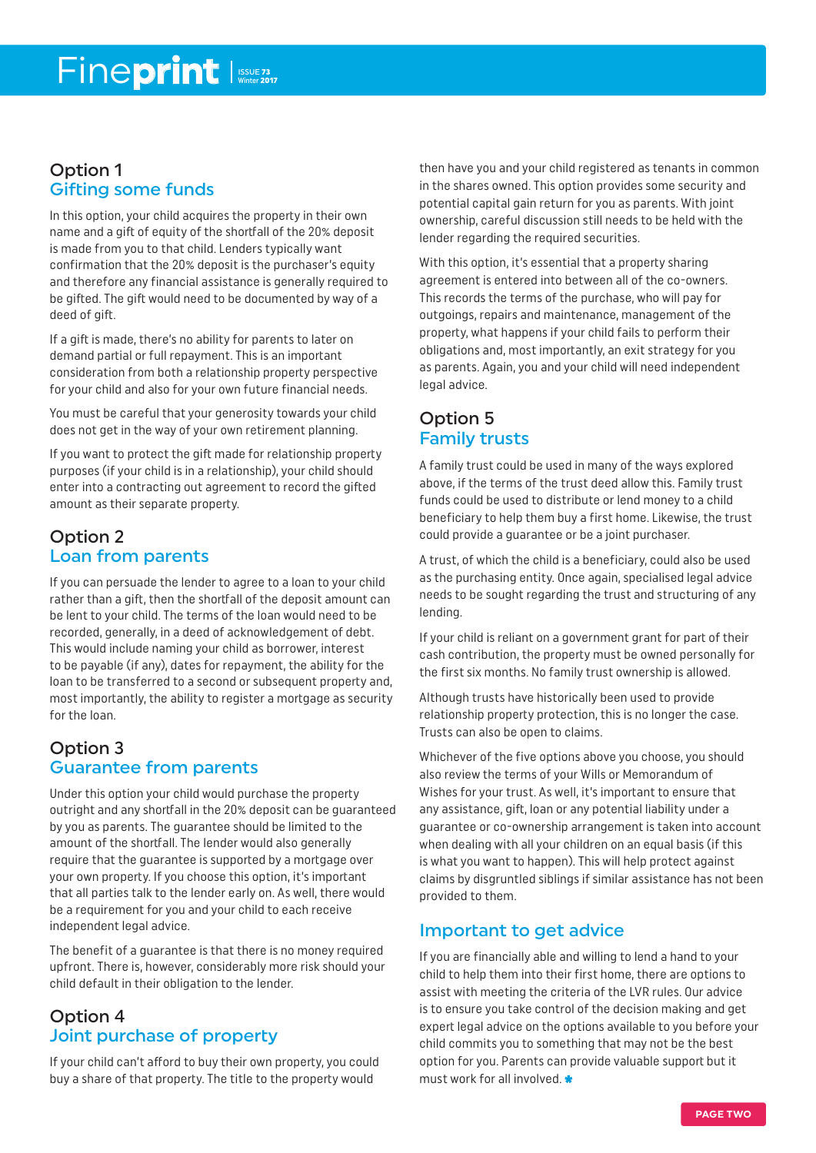#### Option 1 Gifting some funds

In this option, your child acquires the property in their own name and a gift of equity of the shortfall of the 20% deposit is made from you to that child. Lenders typically want confirmation that the 20% deposit is the purchaser's equity and therefore any financial assistance is generally required to be gifted. The gift would need to be documented by way of a deed of gift.

If a gift is made, there's no ability for parents to later on demand partial or full repayment. This is an important consideration from both a relationship property perspective for your child and also for your own future financial needs.

You must be careful that your generosity towards your child does not get in the way of your own retirement planning.

If you want to protect the gift made for relationship property purposes (if your child is in a relationship), your child should enter into a contracting out agreement to record the gifted amount as their separate property.

### Option 2 Loan from parents

If you can persuade the lender to agree to a loan to your child rather than a gift, then the shortfall of the deposit amount can be lent to your child. The terms of the loan would need to be recorded, generally, in a deed of acknowledgement of debt. This would include naming your child as borrower, interest to be payable (if any), dates for repayment, the ability for the loan to be transferred to a second or subsequent property and, most importantly, the ability to register a mortgage as security for the loan.

### Option 3 Guarantee from parents

Under this option your child would purchase the property outright and any shortfall in the 20% deposit can be guaranteed by you as parents. The guarantee should be limited to the amount of the shortfall. The lender would also generally require that the guarantee is supported by a mortgage over your own property. If you choose this option, it's important that all parties talk to the lender early on. As well, there would be a requirement for you and your child to each receive independent legal advice.

The benefit of a guarantee is that there is no money required upfront. There is, however, considerably more risk should your child default in their obligation to the lender.

#### Option 4 Joint purchase of property

If your child can't afford to buy their own property, you could buy a share of that property. The title to the property would

then have you and your child registered as tenants in common in the shares owned. This option provides some security and potential capital gain return for you as parents. With joint ownership, careful discussion still needs to be held with the lender regarding the required securities.

With this option, it's essential that a property sharing agreement is entered into between all of the co-owners. This records the terms of the purchase, who will pay for outgoings, repairs and maintenance, management of the property, what happens if your child fails to perform their obligations and, most importantly, an exit strategy for you as parents. Again, you and your child will need independent legal advice.

### Option 5 Family trusts

A family trust could be used in many of the ways explored above, if the terms of the trust deed allow this. Family trust funds could be used to distribute or lend money to a child beneficiary to help them buy a first home. Likewise, the trust could provide a guarantee or be a joint purchaser.

A trust, of which the child is a beneficiary, could also be used as the purchasing entity. Once again, specialised legal advice needs to be sought regarding the trust and structuring of any lending.

If your child is reliant on a government grant for part of their cash contribution, the property must be owned personally for the first six months. No family trust ownership is allowed.

Although trusts have historically been used to provide relationship property protection, this is no longer the case. Trusts can also be open to claims.

Whichever of the five options above you choose, you should also review the terms of your Wills or Memorandum of Wishes for your trust. As well, it's important to ensure that any assistance, gift, loan or any potential liability under a guarantee or co-ownership arrangement is taken into account when dealing with all your children on an equal basis (if this is what you want to happen). This will help protect against claims by disgruntled siblings if similar assistance has not been provided to them.

### Important to get advice

If you are financially able and willing to lend a hand to your child to help them into their first home, there are options to assist with meeting the criteria of the LVR rules. Our advice is to ensure you take control of the decision making and get expert legal advice on the options available to you before your child commits you to something that may not be the best option for you. Parents can provide valuable support but it must work for all involved.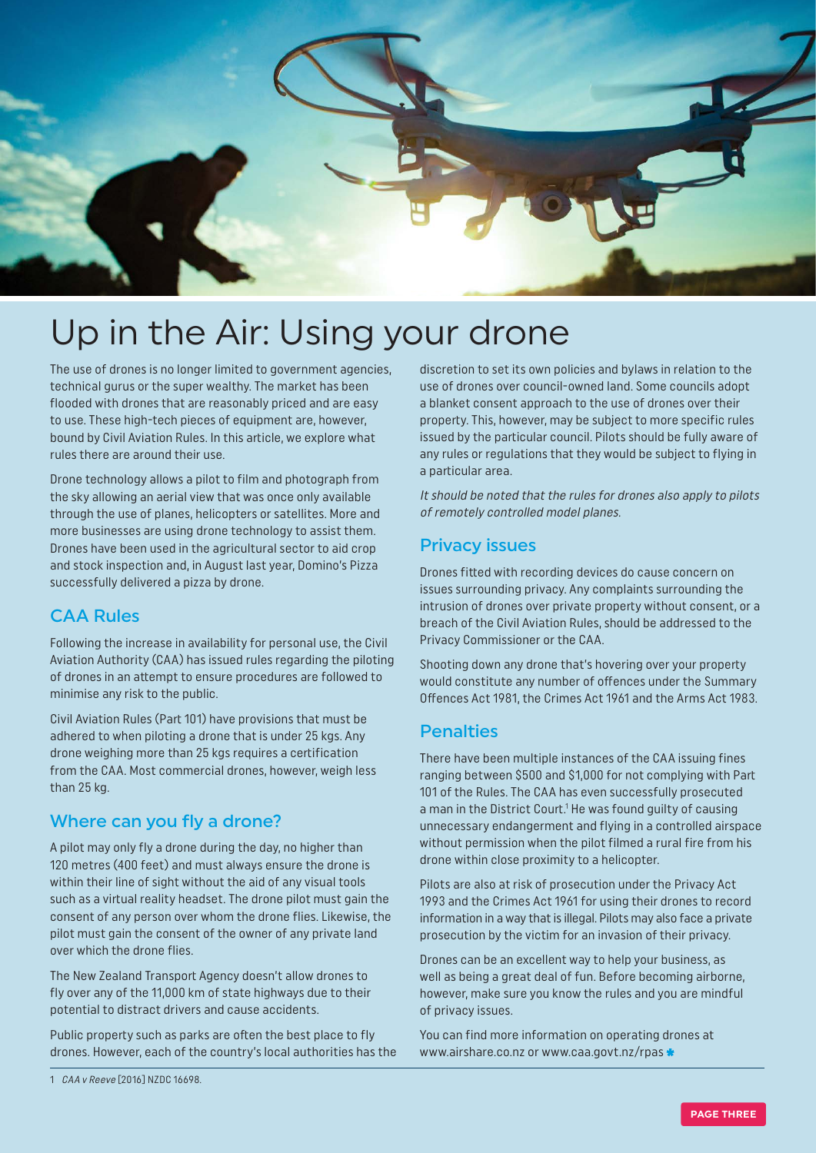

## Up in the Air: Using your drone

The use of drones is no longer limited to government agencies, technical gurus or the super wealthy. The market has been flooded with drones that are reasonably priced and are easy to use. These high-tech pieces of equipment are, however, bound by Civil Aviation Rules. In this article, we explore what rules there are around their use.

Drone technology allows a pilot to film and photograph from the sky allowing an aerial view that was once only available through the use of planes, helicopters or satellites. More and more businesses are using drone technology to assist them. Drones have been used in the agricultural sector to aid crop and stock inspection and, in August last year, Domino's Pizza successfully delivered a pizza by drone.

#### CAA Rules

Following the increase in availability for personal use, the Civil Aviation Authority (CAA) has issued rules regarding the piloting of drones in an attempt to ensure procedures are followed to minimise any risk to the public.

Civil Aviation Rules (Part 101) have provisions that must be adhered to when piloting a drone that is under 25 kgs. Any drone weighing more than 25 kgs requires a certification from the CAA. Most commercial drones, however, weigh less than 25 kg.

#### Where can you fly a drone?

A pilot may only fly a drone during the day, no higher than 120 metres (400 feet) and must always ensure the drone is within their line of sight without the aid of any visual tools such as a virtual reality headset. The drone pilot must gain the consent of any person over whom the drone flies. Likewise, the pilot must gain the consent of the owner of any private land over which the drone flies.

The New Zealand Transport Agency doesn't allow drones to fly over any of the 11,000 km of state highways due to their potential to distract drivers and cause accidents.

Public property such as parks are often the best place to fly drones. However, each of the country's local authorities has the It should be noted that the rules for drones also apply to pilots of remotely controlled model planes.

#### Privacy issues

Drones fitted with recording devices do cause concern on issues surrounding privacy. Any complaints surrounding the intrusion of drones over private property without consent, or a breach of the Civil Aviation Rules, should be addressed to the Privacy Commissioner or the CAA.

Shooting down any drone that's hovering over your property would constitute any number of offences under the Summary Offences Act 1981, the Crimes Act 1961 and the Arms Act 1983.

#### **Penalties**

There have been multiple instances of the CAA issuing fines ranging between \$500 and \$1,000 for not complying with Part 101 of the Rules. The CAA has even successfully prosecuted a man in the District Court.<sup>1</sup> He was found guilty of causing unnecessary endangerment and flying in a controlled airspace without permission when the pilot filmed a rural fire from his drone within close proximity to a helicopter.

Pilots are also at risk of prosecution under the Privacy Act 1993 and the Crimes Act 1961 for using their drones to record information in a way that is illegal. Pilots may also face a private prosecution by the victim for an invasion of their privacy.

Drones can be an excellent way to help your business, as well as being a great deal of fun. Before becoming airborne, however, make sure you know the rules and you are mindful of privacy issues.

You can find more information on operating drones at www.airshare.co.nz or www.caa.govt.nz/rpas

discretion to set its own policies and bylaws in relation to the use of drones over council-owned land. Some councils adopt a blanket consent approach to the use of drones over their property. This, however, may be subject to more specific rules issued by the particular council. Pilots should be fully aware of any rules or regulations that they would be subject to flying in a particular area.

<sup>1</sup> CAA v Reeve [2016] NZDC 16698.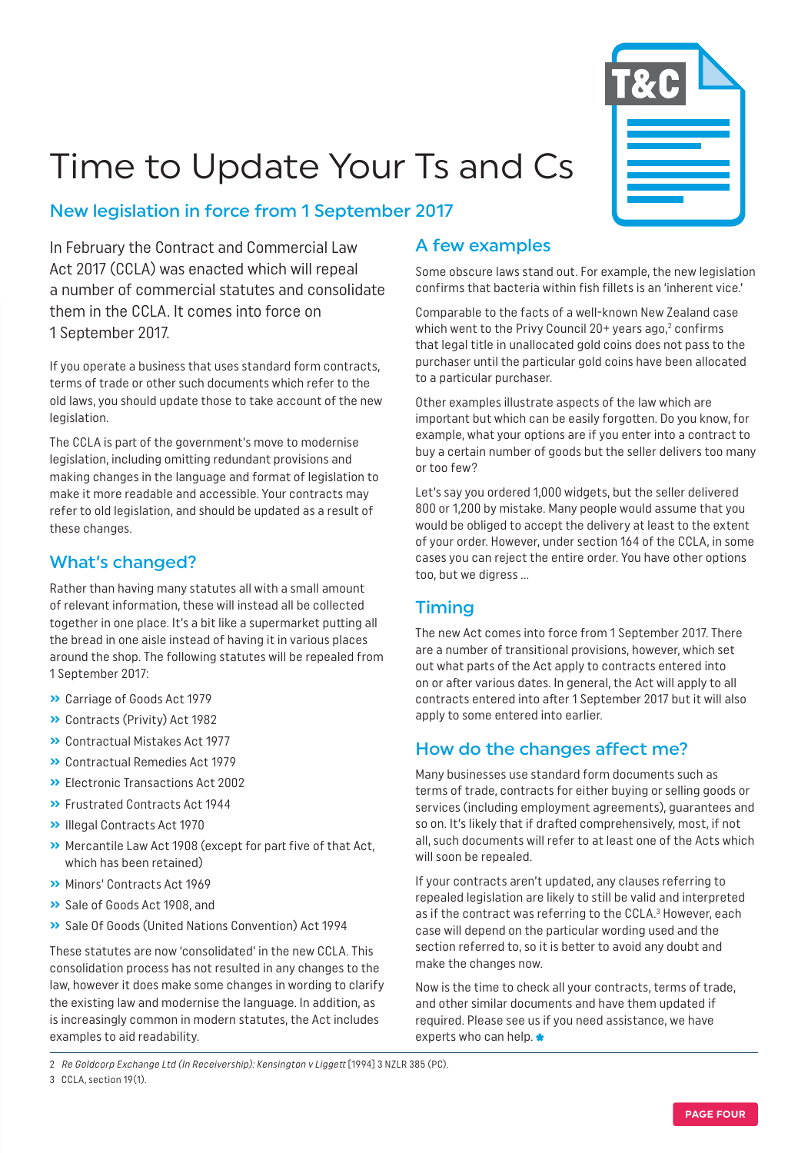

# Time to Update Your Ts and Cs

#### New legislation in force from 1 September 2017

In February the Contract and Commercial Law Act 2017 (CCLA) was enacted which will repeal a number of commercial statutes and consolidate them in the CCLA. It comes into force on 1 September 2017.

If you operate a business that uses standard form contracts, terms of trade or other such documents which refer to the old laws, you should update those to take account of the new legislation.

The CCLA is part of the government's move to modernise legislation, including omitting redundant provisions and making changes in the language and format of legislation to make it more readable and accessible. Your contracts may refer to old legislation, and should be updated as a result of these changes.

### What's changed?

Rather than having many statutes all with a small amount of relevant information, these will instead all be collected together in one place. It's a bit like a supermarket putting all the bread in one aisle instead of having it in various places around the shop. The following statutes will be repealed from 1 September 2017:

- **»** Carriage of Goods Act 1979
- **»** Contracts (Privity) Act 1982
- **»** Contractual Mistakes Act 1977
- **»** Contractual Remedies Act 1979
- **»** Electronic Transactions Act 2002
- **»** Frustrated Contracts Act 1944
- **»** Illegal Contracts Act 1970
- **»** Mercantile Law Act 1908 (except for part five of that Act, which has been retained)
- **»** Minors' Contracts Act 1969
- **»** Sale of Goods Act 1908, and
- **»** Sale Of Goods (United Nations Convention) Act 1994

These statutes are now 'consolidated' in the new CCLA. This consolidation process has not resulted in any changes to the law, however it does make some changes in wording to clarify the existing law and modernise the language. In addition, as is increasingly common in modern statutes, the Act includes examples to aid readability.

#### A few examples

Some obscure laws stand out. For example, the new legislation confirms that bacteria within fish fillets is an 'inherent vice.'

Comparable to the facts of a well-known New Zealand case which went to the Privy Council 20+ years ago,<sup>2</sup> confirms that legal title in unallocated gold coins does not pass to the purchaser until the particular gold coins have been allocated to a particular purchaser.

Other examples illustrate aspects of the law which are important but which can be easily forgotten. Do you know, for example, what your options are if you enter into a contract to buy a certain number of goods but the seller delivers too many or too few?

Let's say you ordered 1,000 widgets, but the seller delivered 800 or 1,200 by mistake. Many people would assume that you would be obliged to accept the delivery at least to the extent of your order. However, under section 164 of the CCLA, in some cases you can reject the entire order. You have other options too, but we digress …

### Timing

The new Act comes into force from 1 September 2017. There are a number of transitional provisions, however, which set out what parts of the Act apply to contracts entered into on or after various dates. In general, the Act will apply to all contracts entered into after 1 September 2017 but it will also apply to some entered into earlier.

### How do the changes affect me?

Many businesses use standard form documents such as terms of trade, contracts for either buying or selling goods or services (including employment agreements), guarantees and so on. It's likely that if drafted comprehensively, most, if not all, such documents will refer to at least one of the Acts which will soon be repealed.

If your contracts aren't updated, any clauses referring to repealed legislation are likely to still be valid and interpreted as if the contract was referring to the CCLA.<sup>3</sup> However, each case will depend on the particular wording used and the section referred to, so it is better to avoid any doubt and make the changes now.

Now is the time to check all your contracts, terms of trade, and other similar documents and have them updated if required. Please see us if you need assistance, we have experts who can help.

2 Re Goldcorp Exchange Ltd (In Receivership): Kensington v Liggett [1994] 3 NZLR 385 (PC).

3 CCLA, section 19(1).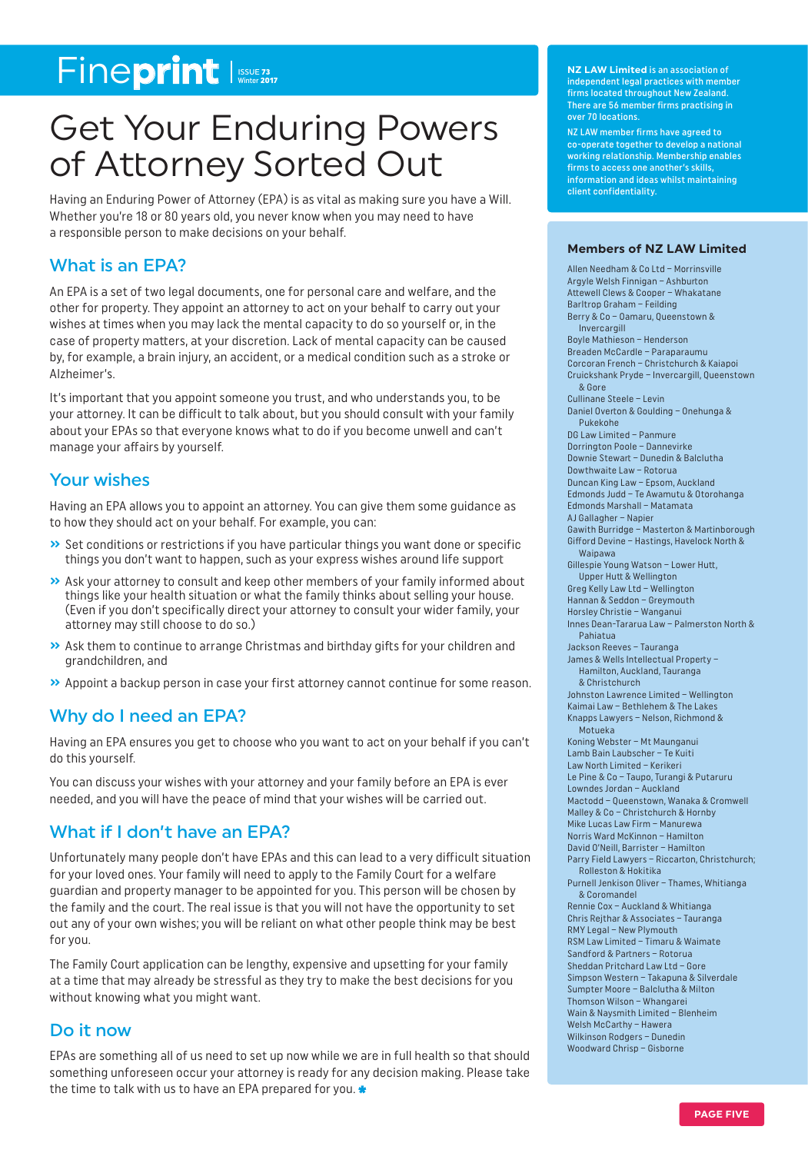## Fineprint Issue 73

## Get Your Enduring Powers of Attorney Sorted Out

Having an Enduring Power of Attorney (EPA) is as vital as making sure you have a Will. Whether you're 18 or 80 years old, you never know when you may need to have a responsible person to make decisions on your behalf.

#### What is an EPA?

An EPA is a set of two legal documents, one for personal care and welfare, and the other for property. They appoint an attorney to act on your behalf to carry out your wishes at times when you may lack the mental capacity to do so yourself or, in the case of property matters, at your discretion. Lack of mental capacity can be caused by, for example, a brain injury, an accident, or a medical condition such as a stroke or Alzheimer's.

It's important that you appoint someone you trust, and who understands you, to be your attorney. It can be difficult to talk about, but you should consult with your family about your EPAs so that everyone knows what to do if you become unwell and can't manage your affairs by yourself.

#### Your wishes

Having an EPA allows you to appoint an attorney. You can give them some guidance as to how they should act on your behalf. For example, you can:

- **»** Set conditions or restrictions if you have particular things you want done or specific things you don't want to happen, such as your express wishes around life support
- **»** Ask your attorney to consult and keep other members of your family informed about things like your health situation or what the family thinks about selling your house. (Even if you don't specifically direct your attorney to consult your wider family, your attorney may still choose to do so.)
- **»** Ask them to continue to arrange Christmas and birthday gifts for your children and grandchildren, and
- **»** Appoint a backup person in case your first attorney cannot continue for some reason.

#### Why do I need an EPA?

Having an EPA ensures you get to choose who you want to act on your behalf if you can't do this yourself.

You can discuss your wishes with your attorney and your family before an EPA is ever needed, and you will have the peace of mind that your wishes will be carried out.

#### What if I don't have an EPA?

Unfortunately many people don't have EPAs and this can lead to a very difficult situation for your loved ones. Your family will need to apply to the Family Court for a welfare guardian and property manager to be appointed for you. This person will be chosen by the family and the court. The real issue is that you will not have the opportunity to set out any of your own wishes; you will be reliant on what other people think may be best for you.

The Family Court application can be lengthy, expensive and upsetting for your family at a time that may already be stressful as they try to make the best decisions for you without knowing what you might want.

#### Do it now

EPAs are something all of us need to set up now while we are in full health so that should something unforeseen occur your attorney is ready for any decision making. Please take the time to talk with us to have an EPA prepared for you.

**NZ LAW Limited** is an association of independent legal practices with member firms located throughout New Zealand. There are 56 member firms practising in over 70 locations.

NZ LAW member firms have agreed to co-operate together to develop a national working relationship. Membership enables firms to access one another's skills, information and ideas whilst maintaining client confidentiality.

#### **Members of NZ LAW Limited**

Allen Needham & Co Ltd – Morrinsville Argyle Welsh Finnigan – Ashburton Attewell Clews & Cooper – Whakatane Barltrop Graham – Feilding Berry & Co – Oamaru, Queenstown & Invercargill Boyle Mathieson – Henderson Breaden McCardle – Paraparaumu Corcoran French – Christchurch & Kaiapoi Cruickshank Pryde – Invercargill, Queenstown & Gore Cullinane Steele – Levin Daniel Overton & Goulding – Onehunga & Pukekohe DG Law Limited – Panmure Dorrington Poole – Dannevirke Downie Stewart – Dunedin & Balclutha Dowthwaite Law – Rotorua Duncan King Law – Epsom, Aucklan d Edmonds Judd – Te Awamutu & Otorohanga Edmonds Marshall – Matamata AJ Gallagher – Napier Gawith Burridge – Masterton & Martinborough Gifford Devine – Hastings, Havelock North & Waipawa Gillespie Young Watson – Lower Hutt, Upper Hutt & Wellington Greg Kelly Law Ltd – Wellington Hannan & Seddon – Greymouth Horsley Christie – Wanganui Innes Dean-Tararua Law – Palmerston North & Pahiatua Jackson Reeves – Tauranga James & Wells Intellectual Property – Hamilton, Auckland, Tauranga & Christchurch Johnston Lawrence Limited – Wellington Kaimai Law – Bethlehem & The Lakes Knapps Lawyers – Nelson, Richmond & Motueka Koning Webster – Mt Maunganui Lamb Bain Laubscher – Te Kuiti Law North Limited – Kerikeri Le Pine & Co – Taupo, Turangi & Putaruru Lowndes Jordan – Auckland Mactodd – Queenstown, Wanaka & Cromwell Malley & Co – Christchurch & Hornby Mike Lucas Law Firm – Manurewa Norris Ward McKinnon – Hamilton David O'Neill, Barrister – Hamilton Parry Field Lawyers – Riccarton, Christchurch; Rolleston & Hokitika Purnell Jenkison Oliver – Thames, Whitianga & Coromandel Rennie Cox – Auckland & Whitianga Chris Rejthar & Associates – Tauranga RMY Legal – New Plymouth RSM Law Limited – Timaru & Waimate Sandford & Partners – Rotorua Sheddan Pritchard Law Ltd – Gore Simpson Western – Takapuna & Silverdale Sumpter Moore – Balclutha & Milton Thomson Wilson – Whangarei Wain & Naysmith Limited – Blenheim Welsh McCarthy – Hawera Wilkinson Rodgers – Dunedin Woodward Chrisp – Gisborne